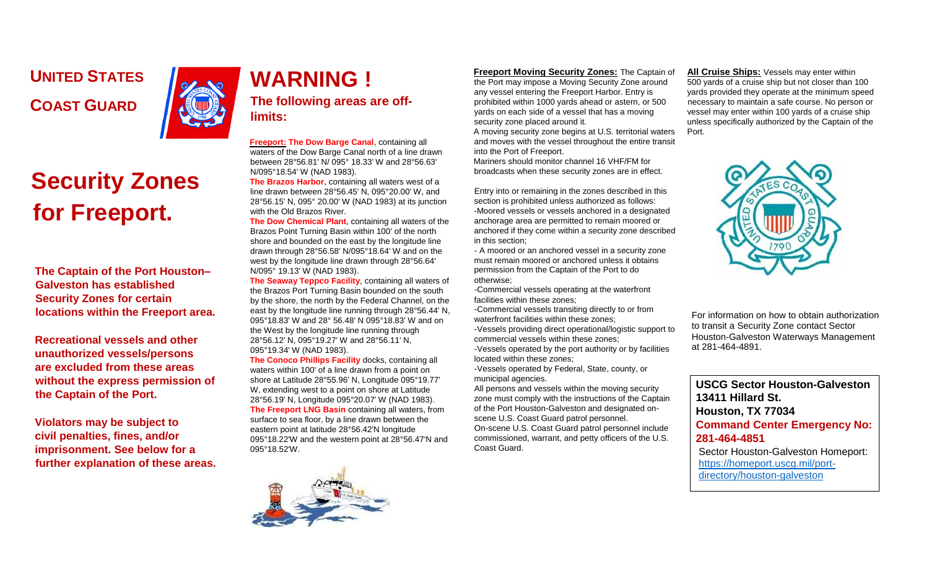**UNITED STATES COAST GUARD** 



## **Security Zones for Freeport.**

**The Captain of the Port Houston– Galveston has established Security Zones for certain locations within the Freeport area.** 

**Recreational vessels and other unauthorized vessels/persons are excluded from these areas without the express permission of the Captain of the Port.** 

**Violators may be subject to civil penalties, fines, and/or imprisonment. See below for a further explanation of these areas.** 

## **WARNING ! The following areas are offlimits:**

**Freeport: The Dow Barge Canal**, containing all waters of the Dow Barge Canal north of a line drawn between 28°56.81' N/ 095° 18.33' W and 28°56.63' N/095°18.54' W (NAD 1983).

**The Brazos Harbor**, containing all waters west of a line drawn between 28°56.45' N, 095°20.00' W, and 28°56.15' N, 095° 20.00' W (NAD 1983) at its junction with the Old Brazos River.

**The Dow Chemical Plant**, containing all waters of the Brazos Point Turning Basin within 100' of the north shore and bounded on the east by the longitude line drawn through 28°56.58' N/095°18.64' W and on the west by the longitude line drawn through 28°56.64' N/095° 19.13' W (NAD 1983).

**The Seaway Teppco Facility**, containing all waters of the Brazos Port Turning Basin bounded on the south by the shore, the north by the Federal Channel, on the east by the longitude line running through 28°56.44' N, 095°18.83' W and 28° 56.48' N 095°18.83' W and on the West by the longitude line running through 28°56.12' N, 095°19.27' W and 28°56.11' N, 095°19.34' W (NAD 1983).

**The Conoco Phillips Facility** docks, containing all waters within 100' of a line drawn from a point on shore at Latitude 28°55.96' N, Longitude 095°19.77' W, extending west to a point on shore at Latitude 28°56.19' N, Longitude 095°20.07' W (NAD 1983). **The Freeport LNG Basin** containing all waters, from surface to sea floor, by a line drawn between the eastern point at latitude 28°56.42'N longitude 095°18.22'W and the western point at 28°56.47'N and 095°18.52'W.

## **Freeport Moving Security Zones:** The Captain of

the Port may impose a Moving Security Zone around any vessel entering the Freeport Harbor. Entry is prohibited within 1000 yards ahead or astern, or 500 yards on each side of a vessel that has a moving security zone placed around it.

A moving security zone begins at U.S. territorial waters and moves with the vessel throughout the entire transit into the Port of Freeport.

Mariners should monitor channel 16 VHF/FM for broadcasts when these security zones are in effect.

Entry into or remaining in the zones described in this section is prohibited unless authorized as follows: -Moored vessels or vessels anchored in a designated anchorage area are permitted to remain moored or anchored if they come within a security zone described in this section;

- A moored or an anchored vessel in a security zone must remain moored or anchored unless it obtains permission from the Captain of the Port to do otherwise;

-Commercial vessels operating at the waterfront facilities within these zones;

-Commercial vessels transiting directly to or from waterfront facilities within these zones;

-Vessels providing direct operational/logistic support to commercial vessels within these zones; -Vessels operated by the port authority or by facilities located within these zones;

-Vessels operated by Federal, State, county, or municipal agencies.

All persons and vessels within the moving security zone must comply with the instructions of the Captain of the Port Houston-Galveston and designated onscene U.S. Coast Guard patrol personnel.

On-scene U.S. Coast Guard patrol personnel include commissioned, warrant, and petty officers of the U.S. Coast Guard.

**All Cruise Ships:** Vessels may enter within 500 yards of a cruise ship but not closer than 100 yards provided they operate at the minimum speed necessary to maintain a safe course. No person or vessel may enter within 100 yards of a cruise ship unless specifically authorized by the Captain of the Port.



For information on how to obtain authorization to transit a Security Zone contact Sector Houston-Galveston Waterways Management at 281-464-4891.

**USCG Sector Houston-Galveston 13411 Hillard St. Houston, TX 77034 Command Center Emergency No: 281-464-4851**  Sector Houston-Galveston Homeport: [https://homeport.uscg.mil/port](https://homeport.uscg.mil/port-directory/houston-galveston)[directory/houston-galveston](https://homeport.uscg.mil/port-directory/houston-galveston)